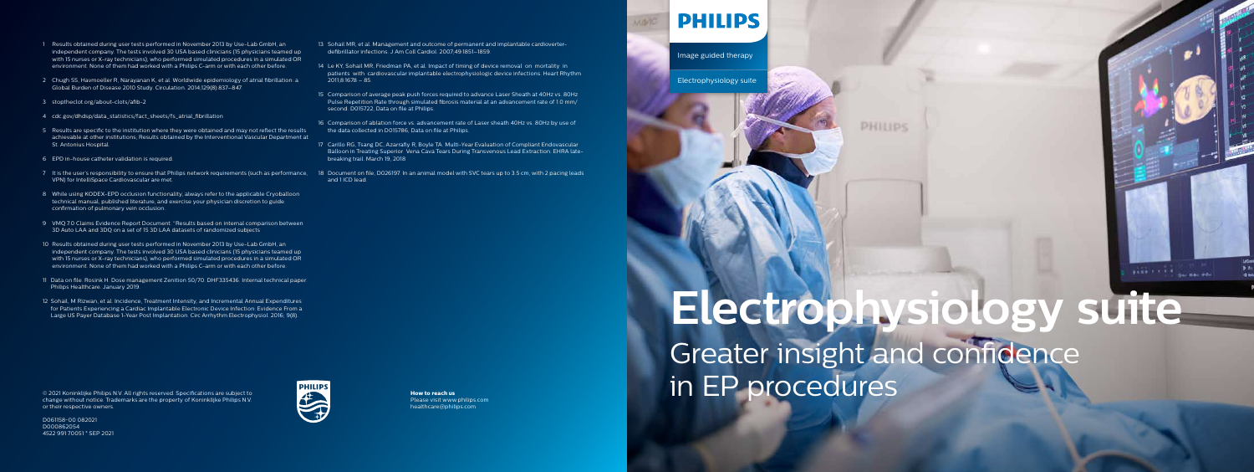© 2021 Koninklijke Philips N.V. All rights reserved. Specifications are subject to change without notice. Trademarks are the property of Koninklijke Philips N.V.

or their respective owners. D061158-00 082021



## **How to reach us**



Please visit www.philips.com healthcare@philips.com

**Electrophysiology suite** Greater insight and confidence in EP procedures

which is the parameters.

own

**PHILIPS** 

Image guided therapy

Electrophysiology suite

- 1 Results obtained during user tests performed in November 2013 by Use-Lab GmbH, an independent company. The tests involved 30 USA based clinicians (15 physicians teamed up with 15 nurses or X-ray technicians), who performed simulated procedures in a simulated OR environment. None of them had worked with a Philips C-arm or with each other before.
- 2 Chugh SS, Havmoeller R, Narayanan K, et al. Worldwide epidemiology of atrial fibrillation: a Global Burden of Disease 2010 Study. Circulation. 2014;129(8):837–847.
- 3 stoptheclot.org/about-clots/afib-2
- 4 cdc.gov/dhdsp/data\_statistics/fact\_sheets/fs\_atrial\_fibrillation
- 5 Results are specific to the institution where they were obtained and may not reflect the results achievable at other institutions; Results obtained by the Interventional Vascular Department at St. Antonius Hospital.
- 6 EPD in-house catheter validation is required.
- 7 It is the user's responsibility to ensure that Philips network requirements (such as performance, 18 Document on file, D026197. In an animal model with SVC tears up to 3.5 cm, with 2 pacing leads VPN) for IntelliSpace Cardiovascular are met.
- 8 While using KODEX-EPD occlusion functionality, always refer to the applicable Cryoballoon technical manual, published literature, and exercise your physician discretion to guide confirmation of pulmonary vein occlusion.
- 9 VMO 7.0 Claims Evidence Report Document. "Results based on internal comparison between 3D Auto LAA and 3DQ on a set of 15 3D LAA datasets of randomized subjects
- 10 Results obtained during user tests performed in November 2013 by Use-Lab GmbH, an independent company. The tests involved 30 USA based clinicians (15 physicians teamed up with 15 nurses or X-ray technicians), who performed simulated procedures in a simulated OR environment. None of them had worked with a Philips C-arm or with each other before.
- 11 Data on file. Rosink H. Dose management Zenition 50/70. DHF335436. Internal technical paper. Philips Healthcare. January 2019.
- 12 Sohail, M Rizwan, et al. Incidence, Treatment Intensity, and Incremental Annual Expenditures for Patients Experiencing a Cardiac Implantable Electronic Device Infection: Evidence From a Large US Payer Database 1-Year Post Implantation. Circ Arrhythm Electrophysiol. 2016; 9(8).
- 13 Sohail MR, et al. Management and outcome of permanent and implantable cardioverterdefibrillator infections. J Am Coll Cardiol. 2007;49:1851–1859.
- 14 Le KY, Sohail MR, Friedman PA, et al. Impact of timing of device removal on mortality in patients with cardiovascular implantable electrophysiologic device infections. Heart Rhythm 2011;8:1678 – 85.
- 15 Comparison of average peak push forces required to advance Laser Sheath at 40Hz vs. 80Hz Pulse Repetition Rate through simulated fibrosis material at an advancement rate of 1.0 mm/ second. D015722, Data on file at Philips.
- 16 Comparison of ablation force vs. advancement rate of Laser sheath 40Hz vs. 80Hz by use of the data collected in D015786, Data on file at Philips.
- 17 Carillo RG, Tsang DC, Azarrafiy R, Boyle TA. Multi-Year Evaluation of Compliant Endovascular Balloon in Treating Superior Vena Cava Tears During Transvenous Lead Extraction. EHRA latebreaking trail. March 19, 2018
- and 1 ICD lead.

## **PHILIPS**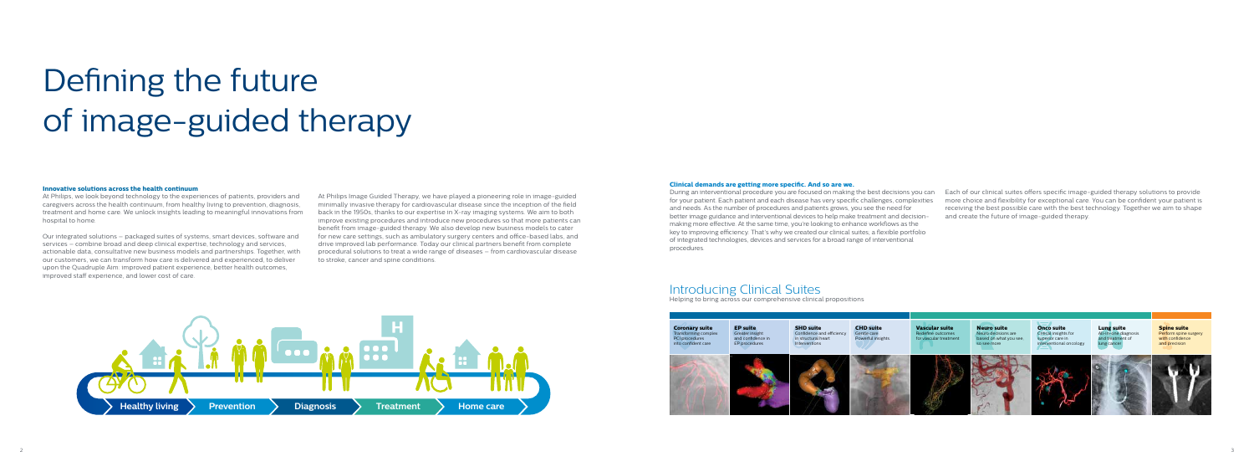# Defining the future of image-guided therapy

#### **Clinical demands are getting more specific. And so are we.**

During an interventional procedure you are focused on making the best decisions you can for your patient. Each patient and each disease has very specific challenges, complexities and needs. As the number of procedures and patients grows, you see the need for better image guidance and interventional devices to help make treatment and decisionmaking more effective. At the same time, you're looking to enhance workflows as the key to improving efficiency. That's why we created our clinical suites; a flexible portfolio of integrated technologies, devices and services for a broad range of interventional

**Coronary suite**  Transforming complex PCI procedures into confident care



procedures.

Each of our clinical suites offers specific image-guided therapy solutions to provide more choice and flexibility for exceptional care. You can be confident your patient is receiving the best possible care with the best technology. Together we aim to shape and create the future of image-guided therapy.



## Introducing Clinical Suites

Helping to bring across our comprehensive clinical propositions

#### **Innovative solutions across the health continuum**

At Philips, we look beyond technology to the experiences of patients, providers and caregivers across the health continuum, from healthy living to prevention, diagnosis, treatment and home care. We unlock insights leading to meaningful innovations from hospital to home.

Our integrated solutions – packaged suites of systems, smart devices, software and services – combine broad and deep clinical expertise, technology and services, actionable data, consultative new business models and partnerships. Together, with our customers, we can transform how care is delivered and experienced, to deliver upon the Quadruple Aim: improved patient experience, better health outcomes, improved staff experience, and lower cost of care.

At Philips Image Guided Therapy, we have played a pioneering role in image-guided minimally invasive therapy for cardiovascular disease since the inception of the field back in the 1950s, thanks to our expertise in X-ray imaging systems. We aim to both improve existing procedures and introduce new procedures so that more patients can benefit from image-guided therapy. We also develop new business models to cater for new care settings, such as ambulatory surgery centers and office-based labs, and drive improved lab performance. Today our clinical partners benefit from complete procedural solutions to treat a wide range of diseases – from cardiovascular disease to stroke, cancer and spine conditions.

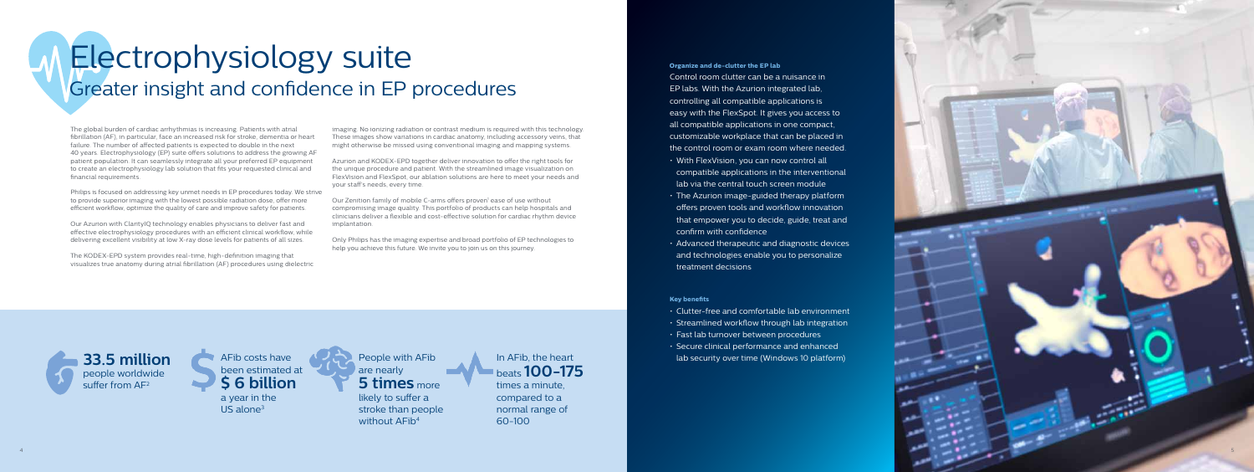

# Electrophysiology suite Greater insight and confidence in EP procedures

The global burden of cardiac arrhythmias is increasing. Patients with atrial fibrillation (AF), in particular, face an increased risk for stroke, dementia or heart failure. The number of affected patients is expected to double in the next 40 years. Electrophysiology ( EP) suite offers solutions to address the growing AF patient population. It can seamlessly integrate all your preferred EP equipment to create an electrophysiology lab solution that fits your requested clinical and financial requirements.

Philips is focused on addressing key unmet needs in EP procedures today. We strive to provide superior imaging with the lowest possible radiation dose, offer more efficient workflow, optimize the quality of care and improve safety for patients.

Our Azurion with ClarityIQ technology enables physicians to deliver fast and effective electrophysiology procedures with an efficient clinical workflow, while delivering excellent visibility at low X-ray dose levels for patients of all sizes.

Our Zenition family of mobile C-arms offers proven<sup>1</sup> ease of use without compromising image quality. This portfolio of products can help hospitals and clinicians deliver a flexible and cost-effective solution for cardiac rhythm device implantation.

The KOD EX-EPD system provides real-time, high-definition imaging that visualizes true anatomy during atrial fibrillation (AF) procedures using dielectric

imaging. No ionizing radiation or contrast medium is required with this technology. These images show variations in cardiac anatomy, including accessory veins, that might otherwise be missed using conventional imaging and mapping systems.

• Clutter-free and comfortable lab environment • Streamlined workflow through lab integration • Fast lab turnover between procedures<br>• Secure clinical performance and enhanced **33.5 million** AFib costs have **A strategies of the Security over time (Windows 10 platform) 33.5 million lab security over time (Windows 10 platform)** 

AFib costs have been estimated at **\$ 6 billion** a year in the US alone<sup>3</sup>

Azurion and KOD EX-EPD together deliver innovation to offer the right tools for the unique procedure and patient. With the streamlined image visualization on FlexVision and FlexSpot, our ablation solutions are here to meet your needs and your staff's needs, every time.

**5 times** more likely to suffer a stroke than people without AFib 4

Only Philips has the imaging expertise and broad portfolio of EP technologies to help you achieve this future. We invite you to join us on this journey.

**Organize and de-clutter the EP lab** Control room clutter can be a nuisance in EP labs. With the Azurion integrated lab, controlling all compatible applications is easy with the FlexSpot. It gives you access to all compatible applications in one compact, customizable workplace that can be placed in the control room or exam room where needed.<br>• With FlexVision, you can now control all compatible applications in the interventional lab via the central touch screen module • The Azurion image-guided therapy platform offers proven tools and workflow innovation that empower you to decide, guide, treat and

- 
- confirm with confidence
- 

• Advanced therapeutic and diagnostic devices and technologies enable you to personalize treatment decisions

### **Key benefits**

- 
- 
- 
- 



People with AFib are nearly

In AFib, the heart beats **100-175**  times a minute, compared to a normal range of 60-100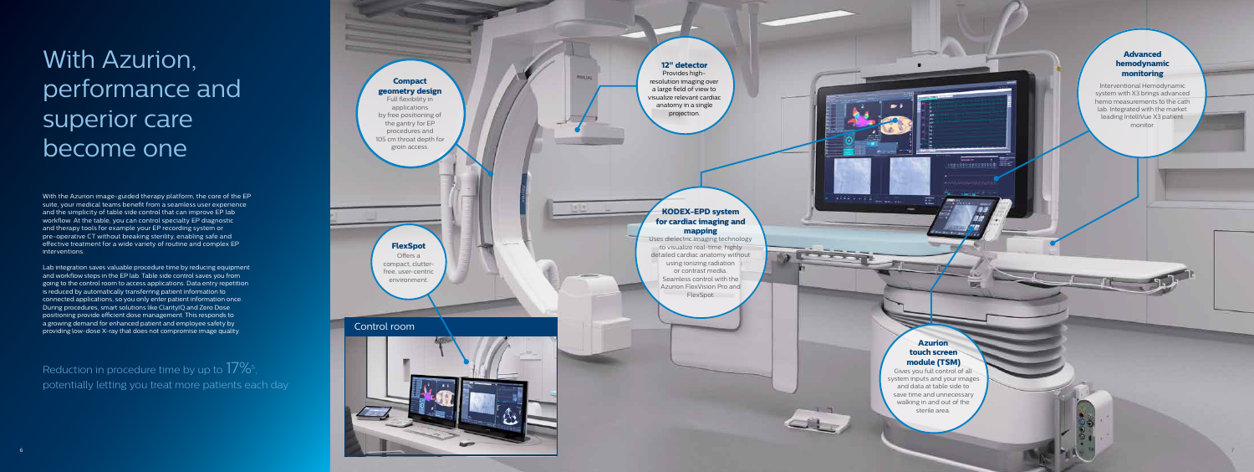6

7

With the Azurion image-guided therapy platform, the core of the EP suite, your medical teams benefit from a seamless user experience and the simplicity of table side control that can improve EP lab workflow. At the table, you can control specialty EP diagnostic and therapy tools for example your EP recording system or pre-operative CT without breaking sterility, enabling safe and effective treatment for a wide variety of routine and complex EP interventions.

## Reduction in procedure time by up to  $17\%$ 5, potentially letting you treat more patients each day

Lab integration saves valuable procedure time by reducing equipment and workflow steps in the EP lab. Table side control saves you from going to the control room to access applications. Data entry repetition is reduced by automatically transferring patient information to connected applications, so you only enter patient information once. During procedures, smart solutions like ClarityIQ and Zero Dose positioning provide efficient dose management. This responds to a growing demand for enhanced patient and employee safety by providing low-dose X-ray that does not compromise image quality.

to visualize real-time, highly detailed cardiac anatomy without using ionizing radiation or contrast media. Seamless control with the Azurion FlexVision Pro and **FlexSpot.** 

# With Azurion, performance and superior care become one



### **Azurion touch screen module (TSM)**

**THEFTHE WAY** 

**HERRISTERED BEE** 

Gives you full control of all system inputs and your images and data at table side to save time and unnecessary walking in and out of the sterile area.

## **KODEX-EPD system for cardiac imaging and mapping**

## **Advanced hemodynamic monitoring**

Interventional Hemodynamic system with X3 brings advanced hemo measurements to the cath lab. Integrated with the market leading IntelliVue X3 patient monitor.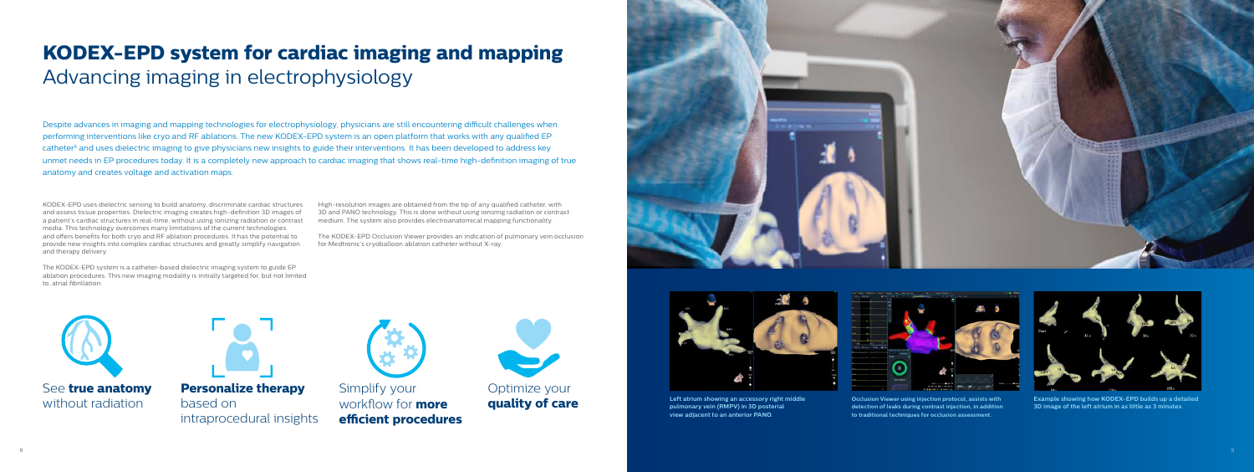## **KODEX-EPD system for cardiac imaging and mapping** Advancing imaging in electrophysiology

Despite advances in imaging and mapping technologies for electrophysiology, physicians are still encountering difficult challenges when performing interventions like cryo and RF ablations. The new KODEX-EPD system is an open platform that works with any qualified EP catheter<sup>6</sup> and uses dielectric imaging to give physicians new insights to guide their interventions. It has been developed to address key unmet needs in EP procedures today. It is a completely new approach to cardiac imaging that shows real-time high-definition imaging of true anatomy and creates voltage and activation maps.



**Left atrium showing an accessory right middle pulmonary vein (RMPV) in 3D posterial view adjacent to an anterior PANO.**



**Example showing how KODEX-EPD builds up a detailed 3D image of the left atrium in as little as 3 minutes.**



**Occlusion Viewer using injection protocol, assists with detection of leaks during contrast injection, in addition to traditional techniques for occlusion assessment.**

Simplify your workflow for **more efficient procedures**



Optimize your **quality of care**





See **true anatomy** without radiation



**Personalize therapy**  based on intraprocedural insights



KODEX-EPD uses dielectric sensing to build anatomy, discriminate cardiac structures and assess tissue properties. Dielectric imaging creates high-definition 3D images of a patient's cardiac structures in real-time, without using ionizing radiation or contrast media. This technology overcomes many limitations of the current technologies and offers benefits for both cryo and RF ablation procedures. It has the potential to provide new insights into complex cardiac structures and greatly simplify navigation and therapy delivery.

The KODEX-EPD system is a catheter-based dielectric imaging system to guide EP ablation procedures. This new imaging modality is initially targeted for, but not limited to, atrial fibrillation.

High-resolution images are obtained from the tip of any qualified catheter, with 3D and PANO technology. This is done without using ionizing radiation or contrast medium. The system also provides electroanatomical mapping functionality.

The KODEX-EPD Occlusion Viewer provides an indication of pulmonary vein occlusion for Medtronic's cryoballoon ablation catheter without X-ray.

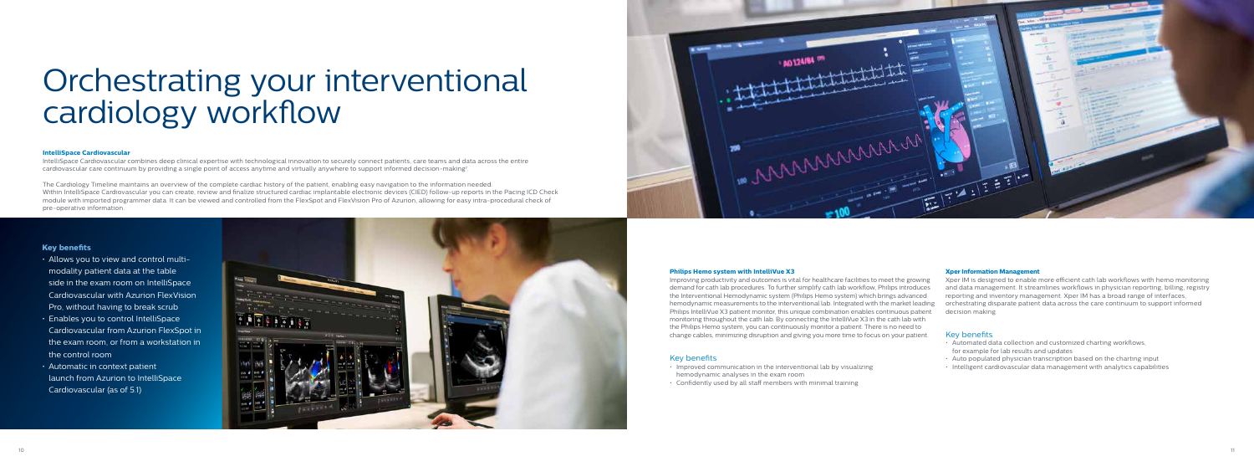## **Key benefits**

- Allows you to view and control multimodality patient data at the table side in the exam room on IntelliSpace Cardiovascular with Azurion FlexVision Pro, without having to break scrub
- Enables you to control IntelliSpace Cardiovascular from Azurion FlexSpot in the exam room, or from a workstation in the control room
- Automatic in context patient launch from Azurion to IntelliSpace Cardiovascular (as of 5.1)





#### **Xper Information Management**

Xper IM is designed to enable more efficient cath lab workflows with hemo monitoring and data management. It streamlines workflows in physician reporting, billing, registry reporting and inventory management. Xper IM has a broad range of interfaces, orchestrating disparate patient data across the care continuum to support informed decision making.

#### Key benefits

- Automated data collection and customized charting workflows, for example for lab results and updates
- $\cdot$  Auto populated physician transcription based on the charting input
- Intelligent cardiovascular data management with analytics capabilities

#### **Philips Hemo system with IntelliVue X3**

Improving productivity and outcomes is vital for healthcare facilities to meet the growing demand for cath lab procedures. To further simplify cath lab workflow, Philips introduces the Interventional Hemodynamic system (Philips Hemo system) which brings advanced hemodynamic measurements to the interventional lab. Integrated with the market leading Philips IntelliVue X3 patient monitor, this unique combination enables continuous patient monitoring throughout the cath lab. By connecting the IntelliVue X3 in the cath lab with the Philips Hemo system, you can continuously monitor a patient. There is no need to change cables, minimizing disruption and giving you more time to focus on your patient.

### Key benefits

- Improved communication in the interventional lab by visualizing
- hemodynamic analyses in the exam room
- 
- Confidently used by all staff members with minimal training

# Orchestrating your interventional cardiology workflow

#### **IntelliSpace Cardiovascular**

IntelliSpace Cardiovascular combines deep clinical expertise with technological innovation to securely connect patients, care teams and data across the entire cardiovascular care continuum by providing a single point of access anytime and virtually anywhere to support informed decision-making7 .

The Cardiology Timeline maintains an overview of the complete cardiac history of the patient, enabling easy navigation to the information needed. Within IntelliSpace Cardiovascular you can create, review and finalize structured cardiac implantable electronic devices (CIED) follow-up reports in the Pacing ICD Check module with imported programmer data. It can be viewed and controlled from the FlexSpot and FlexVision Pro of Azurion, allowing for easy intra-procedural check of pre-operative information.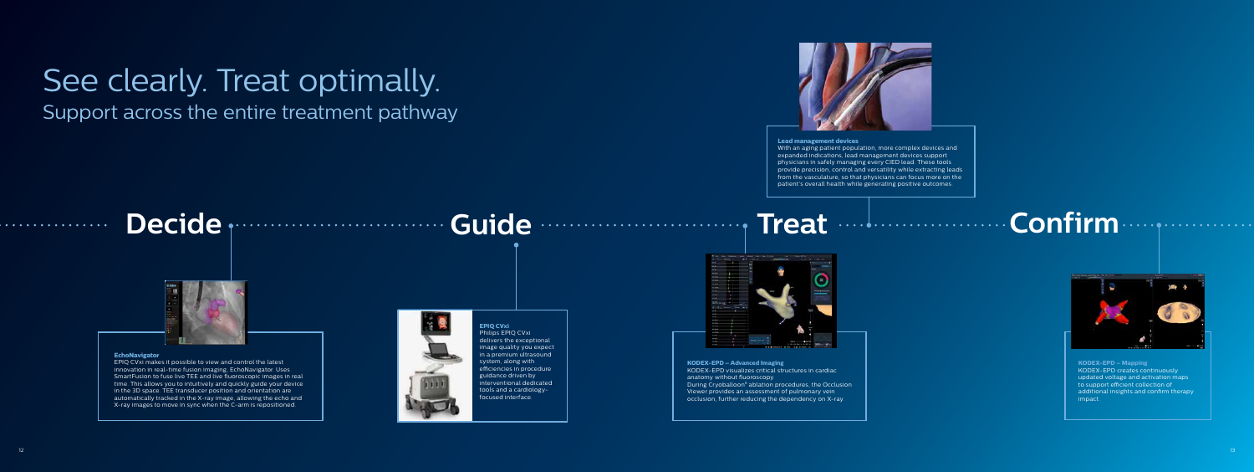## See clearly. Treat optimally. Support across the entire treatment pathway

# Decide **procure accurate to Guide Constantine Treat Confirm**



#### **EchoNavigator**

EPIQ CVxi makes it possible to view and control the latest innovation in real-time fusion imaging, EchoNavigator. Uses SmartFusion to fuse live TEE and live fluoroscopic images in real time. This allows you to intuitively and quickly guide your device in the 3D space. TEE transducer position and orientation are automatically tracked in the X-ray image, allowing the echo and X-ray images to move in sync when the C-arm is repositioned.

![](_page_6_Picture_6.jpeg)

**KODEX-EPD – Advanced Imaging** KODEX-EPD visualizes critical structures in cardiac anatomy without fluoroscopy.

During Cryoballoon8 ablation procedures, the Occlusion Viewer provides an assessment of pulmonary vein

occlusion, further reducing the dependency on X-ray.

![](_page_6_Picture_19.jpeg)

#### **Lead management devices**

With an aging patient population, more complex devices and expanded indications, lead management devices support physicians in safely managing every CIED lead. These tools provide precision, control and versatility while extracting leads from the vasculature, so that physicians can focus more on the patient's overall health while generating positive outcomes.

![](_page_6_Picture_15.jpeg)

**KODEX-EPD – Mapping** KODEX-EPD creates continuously updated voltage and activation maps to support efficient collection of additional insights and confirm therapy impact.

#### **EPIQ CVxi** Philips EPIQ CVxi delivers the exceptional image quality you expect in a premium ultrasound system, along with efficiencies in procedure guidance driven by interventional dedicated tools and a cardiologyfocused interface.

. . . . . . . . . . . . . . . .

![](_page_6_Picture_11.jpeg)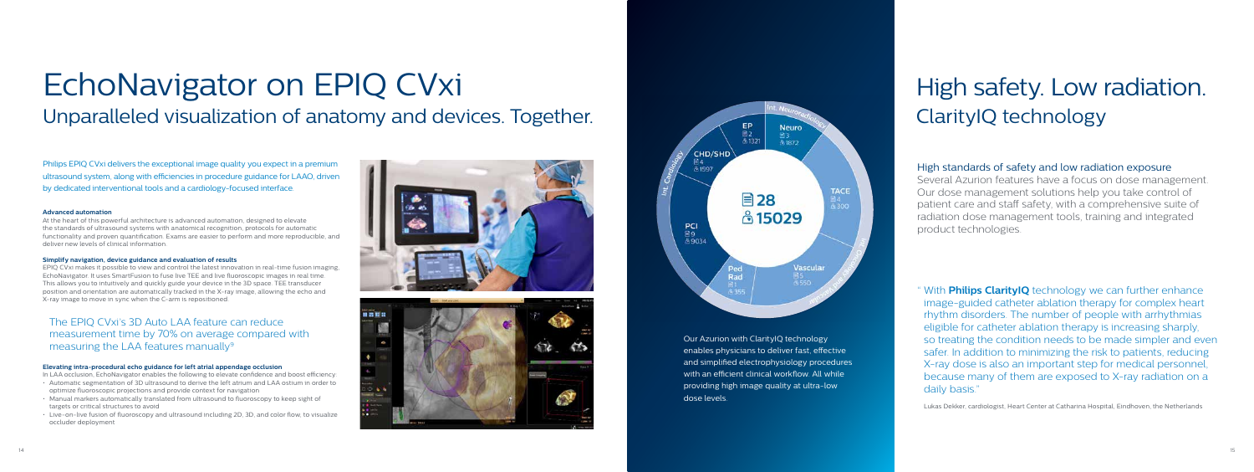# EchoNavigator on EPIQ CVxi Unparalleled visualization of anatomy and devices. Together.

Philips EPIQ CVxi delivers the exceptional image quality you expect in a premium ultrasound system, along with efficiencies in procedure guidance for LAAO, driven by dedicated interventional tools and a cardiology-focused interface.

#### **Advanced automation**

At the heart of this powerful architecture is advanced automation, designed to elevate the standards of ultrasound systems with anatomical recognition, protocols for automatic functionality and proven quantification. Exams are easier to perform and more reproducible, and deliver new levels of clinical information.

## The EPIQ CVxi's 3D Auto LAA feature can reduce measurement time by 70% on average compared with measuring the LAA features manually $9$

#### **Simplify navigation, device guidance and evaluation of results**

EPIQ CVxi makes it possible to view and control the latest innovation in real-time fusion imaging, EchoNavigator. It uses SmartFusion to fuse live TEE and live fluoroscopic images in real time. This allows you to intuitively and quickly guide your device in the 3D space. TEE transducer position and orientation are automatically tracked in the X-ray image, allowing the echo and X-ray image to move in sync when the C-arm is repositioned.

" With **Philips ClarityIQ** technology we can further enhance image-guided catheter ablation therapy for complex heart rhythm disorders. The number of people with arrhythmias eligible for catheter ablation therapy is increasing sharply, so treating the condition needs to be made simpler and even safer. In addition to minimizing the risk to patients, reducing X-ray dose is also an important step for medical personnel, because many of them are exposed to X-ray radiation on a daily basis.'

#### **Elevating intra-procedural echo guidance for left atrial appendage occlusion**

In LAA occlusion, EchoNavigator enables the following to elevate confidence and boost efficiency:

- Automatic segmentation of 3D ultrasound to derive the left atrium and LAA ostium in order to optimize fluoroscopic projections and provide context for navigation
- Manual markers automatically translated from ultrasound to fluoroscopy to keep sight of targets or critical structures to avoid
- Live-on-live fusion of fluoroscopy and ultrasound including 2D, 3D, and color flow, to visualize occluder deployment

![](_page_7_Picture_12.jpeg)

![](_page_7_Picture_13.jpeg)

CHD/SHD **PCI**<br>圖9<br>虛9034

# High safety. Low radiation. ClarityIQ technology

## High standards of safety and low radiation exposure

Several Azurion features have a focus on dose management. Our dose management solutions help you take control of patient care and staff safety, with a comprehensive suite of radiation dose management tools, training and integrated product technologies.

Lukas Dekker, cardiologist, Heart Center at Catharina Hospital, Eindhoven, the Netherlands

Our Azurion with ClarityIQ technology enables physicians to deliver fast, effective and simplified electrophysiology procedures with an efficient clinical workflow. All while providing high image quality at ultra-low

dose levels.

![](_page_7_Figure_17.jpeg)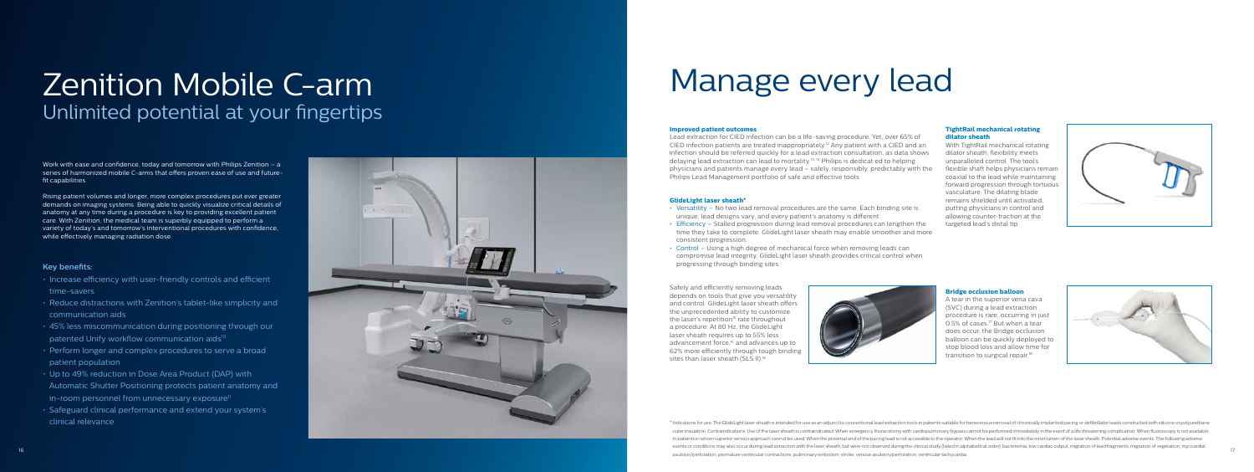#### **Improved patient outcomes**

Lead extraction for CI ED infection can be a life-saving procedure. Yet, over 65% of CI ED infection patients are treated inappropriately.12 Any patient with a CI ED and an infection should be referred quickly for a lead extraction consultation, as data shows delaying lead extraction can lead to mortality.13, 14 Philips is dedicat ed to helping physicians and patients manage every lead – safely, responsibly, predictably with the Philips Lead Management portfolio of safe and effective tools.

### **GlideLight laser sheath\***

Safely and efficiently removing leads depends on tools that give you versatility and control. GlideLight laser sheath offers the unprecedented ability to customize the laser's repetition<sup>15</sup> rate throughout a procedure. At 80 Hz, the GlideLight laser sheath requires up to 55% less advancement force,15 and advances up to 62% more efficiently through tough binding sites than laser sheath (SLS II).<sup>16</sup>

- Versatility No two lead removal procedures are the same. Each binding site is unique, lead designs vary, and every patient's anatomy is different.
- Efficiency Stalled progression during lead removal procedures can lengthen the time they take to complete. GlideLight laser sheath may enable smoother and more consistent progression.

A tear in the superior vena cava (SVC) during a lead extraction procedure is rare, occurring in just 0.5% of cases.<sup>17</sup> But when a tear does occur, the Bridge occlusion balloon can be quickly deployed to stop blood loss and allow time for transition to surgical repair.<sup>18</sup>

![](_page_8_Picture_31.jpeg)

- 
- 
- Control Using a high degree of mechanical force when removing leads can compromise lead integrity. GlideLight laser sheath provides critical control when progressing through binding sites.

# Zenition Mobile C-arm Manage every lead Unlimited potential at your fingertips

#### **TightRail mechanical rotating dilator sheath**

With TightRail mechanical rotating dilator sheath, flexibility meets unparalleled control. The tool's flexible shaft helps physicians remain coaxial to the lead while maintaining forward progression through tortuous vasculature. The dilating blade remains shielded until activated, putting physicians in control and allowing counter-traction at the targeted lead's distal tip.

![](_page_8_Picture_27.jpeg)

![](_page_8_Picture_28.jpeg)

#### **Bridge occlusion balloon**

16 17 \* Indications for use: The GlideLight laser sheath is intended for use as an adjunct to conventional lead extraction tools in patients suitable for transvenous removal of chronically implanted pacing or defibrillator leads outer insulation. Contraindications: Use of the laser sheath is contraindicated: When emergency thoracotomy with cardiopulmonary bypass cannot be performed immediately in the event of a life threatening complication; When In patients in whom superior venous approach cannot be used; When the proximal end of the pacing lead is not accessible to the operator; When the lead will not fit into the inner lumen of the laser sheath. Potential advers events or conditions may also occur during lead extraction with the laser sheath, but were not observed during the clinical study (listed in alphabetical order): bacteremia, low cardiac output, migration of lead fragments, avulsion/perforation, premature ventricular contractions, pulmonary embolism, stroke, venous avulsion/perforation, ventricular tachycardia.

Work with ease and confidence, today and tomorrow with Philips Zenition – a series of harmonized mobile C-arms that offers proven ease of use and futurefit capabilities.

Rising patient volumes and longer, more complex procedures put ever greater demands on imaging systems. Being able to quickly visualize critical details of anatomy at any time during a procedure is key to providing excellent patient care. With Zenition, the medical team is superbly equipped to perform a variety of today's and tomorrow's interventional procedures with confidence, while effectively managing radiation dose.

### **Key benefits:**

- Increase efficiency with user-friendly controls and efficient time-savers
- Reduce distractions with Zenition's tablet-like simplicity and communication aids
- 45% less miscommunication during positioning through our patented Unify workflow communication aids<sup>10</sup>
- Perform longer and complex procedures to serve a broad patient population
- Up to 49% reduction in Dose Area Product (DAP) with Automatic Shutter Positioning protects patient anatomy and in-room personnel from unnecessary exposure<sup>11</sup>
- Safeguard clinical performance and extend your system's clinical relevance

![](_page_8_Picture_10.jpeg)